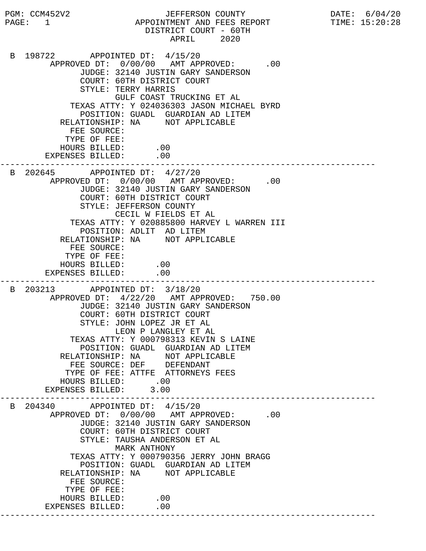PGM: CCM452V2 JEFFERSON COUNTY DATE: 6/04/20 PAGE: 1 APPOINTMENT AND FEES REPORT TIME: 15:20:28 DISTRICT COURT - 60TH APRIL 2020 B 198722 APPOINTED DT: 4/15/20 APPROVED DT:  $0/00/00$  AMT APPROVED: .00 JUDGE: 32140 JUSTIN GARY SANDERSON COURT: 60TH DISTRICT COURT STYLE: TERRY HARRIS GULF COAST TRUCKING ET AL TEXAS ATTY: Y 024036303 JASON MICHAEL BYRD POSITION: GUADL GUARDIAN AD LITEM RELATIONSHIP: NA NOT APPLICABLE FEE SOURCE: TYPE OF FEE: HOURS BILLED: .00 EXPENSES BILLED: .00 --------------------------------------------------------------------------- B 202645 APPOINTED DT: 4/27/20 APPROVED DT:  $0/00/00$  AMT APPROVED: .00 JUDGE: 32140 JUSTIN GARY SANDERSON COURT: 60TH DISTRICT COURT STYLE: JEFFERSON COUNTY CECIL W FIELDS ET AL TEXAS ATTY: Y 020885800 HARVEY L WARREN III POSITION: ADLIT AD LITEM RELATIONSHIP: NA NOT APPLICABLE FEE SOURCE: TYPE OF FEE: HOURS BILLED: .00 EXPENSES BILLED: .00 --------------------------------------------------------------------------- B 203213 APPOINTED DT: 3/18/20 APPROVED DT: 4/22/20 AMT APPROVED: 750.00 JUDGE: 32140 JUSTIN GARY SANDERSON COURT: 60TH DISTRICT COURT STYLE: JOHN LOPEZ JR ET AL LEON P LANGLEY ET AL TEXAS ATTY: Y 000798313 KEVIN S LAINE POSITION: GUADL GUARDIAN AD LITEM RELATIONSHIP: NA NOT APPLICABLE FEE SOURCE: DEF DEFENDANT TYPE OF FEE: ATTFE ATTORNEYS FEES HOURS BILLED: .00<br>PENSES BILLED: 3.00 EXPENSES BILLED: 3.00 --------------------------------------------------------------------------- B 204340 APPOINTED DT: 4/15/20 APPROVED DT:  $0/00/00$  AMT APPROVED: .00 JUDGE: 32140 JUSTIN GARY SANDERSON COURT: 60TH DISTRICT COURT STYLE: TAUSHA ANDERSON ET AL MARK ANTHONY TEXAS ATTY: Y 000790356 JERRY JOHN BRAGG POSITION: GUADL GUARDIAN AD LITEM RELATIONSHIP: NA NOT APPLICABLE FEE SOURCE: TYPE OF FEE: HOURS BILLED: .00 EXPENSES BILLED: .00 ---------------------------------------------------------------------------